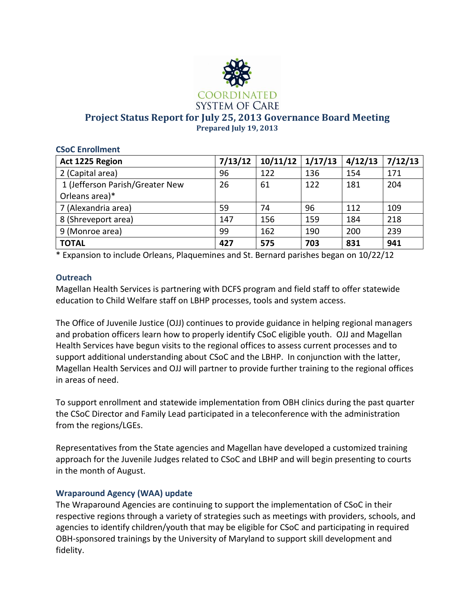

**Project Status Report for July 25, 2013 Governance Board Meeting Prepared July 19, 2013**

| <b>CSoC Enrollment</b>          |         |          |         |         |         |
|---------------------------------|---------|----------|---------|---------|---------|
| Act 1225 Region                 | 7/13/12 | 10/11/12 | 1/17/13 | 4/12/13 | 7/12/13 |
| 2 (Capital area)                | 96      | 122      | 136     | 154     | 171     |
| 1 (Jefferson Parish/Greater New | 26      | 61       | 122     | 181     | 204     |
| Orleans area)*                  |         |          |         |         |         |
| 7 (Alexandria area)             | 59      | 74       | 96      | 112     | 109     |
| 8 (Shreveport area)             | 147     | 156      | 159     | 184     | 218     |
| 9 (Monroe area)                 | 99      | 162      | 190     | 200     | 239     |
| <b>TOTAL</b>                    | 427     | 575      | 703     | 831     | 941     |

\* Expansion to include Orleans, Plaquemines and St. Bernard parishes began on 10/22/12

# **Outreach**

Magellan Health Services is partnering with DCFS program and field staff to offer statewide education to Child Welfare staff on LBHP processes, tools and system access.

The Office of Juvenile Justice (OJJ) continues to provide guidance in helping regional managers and probation officers learn how to properly identify CSoC eligible youth. OJJ and Magellan Health Services have begun visits to the regional offices to assess current processes and to support additional understanding about CSoC and the LBHP. In conjunction with the latter, Magellan Health Services and OJJ will partner to provide further training to the regional offices in areas of need.

To support enrollment and statewide implementation from OBH clinics during the past quarter the CSoC Director and Family Lead participated in a teleconference with the administration from the regions/LGEs.

Representatives from the State agencies and Magellan have developed a customized training approach for the Juvenile Judges related to CSoC and LBHP and will begin presenting to courts in the month of August.

# **Wraparound Agency (WAA) update**

The Wraparound Agencies are continuing to support the implementation of CSoC in their respective regions through a variety of strategies such as meetings with providers, schools, and agencies to identify children/youth that may be eligible for CSoC and participating in required OBH-sponsored trainings by the University of Maryland to support skill development and fidelity.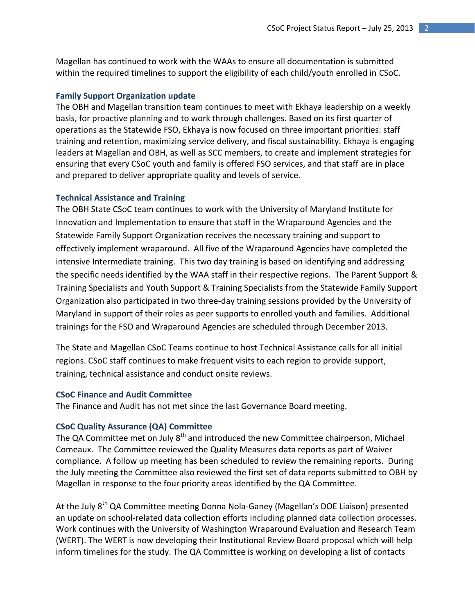Magellan has continued to work with the WAAs to ensure all documentation is submitted within the required timelines to support the eligibility of each child/youth enrolled in CSoC.

### **Family Support Organization update**

The OBH and Magellan transition team continues to meet with Ekhaya leadership on a weekly basis, for proactive planning and to work through challenges. Based on its first quarter of operations as the Statewide FSO, Ekhaya is now focused on three important priorities: staff training and retention, maximizing service delivery, and fiscal sustainability. Ekhaya is engaging leaders at Magellan and OBH, as well as SCC members, to create and implement strategies for ensuring that every CSoC youth and family is offered FSO services, and that staff are in place and prepared to deliver appropriate quality and levels of service.

#### **Technical Assistance and Training**

The OBH State CSoC team continues to work with the University of Maryland Institute for Innovation and Implementation to ensure that staff in the Wraparound Agencies and the Statewide Family Support Organization receives the necessary training and support to effectively implement wraparound. All five of the Wraparound Agencies have completed the intensive Intermediate training. This two day training is based on identifying and addressing the specific needs identified by the WAA staff in their respective regions. The Parent Support & Training Specialists and Youth Support & Training Specialists from the Statewide Family Support Organization also participated in two three-day training sessions provided by the University of Maryland in support of their roles as peer supports to enrolled youth and families. Additional trainings for the FSO and Wraparound Agencies are scheduled through December 2013.

The State and Magellan CSoC Teams continue to host Technical Assistance calls for all initial regions. CSoC staff continues to make frequent visits to each region to provide support, training, technical assistance and conduct onsite reviews.

#### **CSoC Finance and Audit Committee**

The Finance and Audit has not met since the last Governance Board meeting.

# **CSoC Quality Assurance (QA) Committee**

The QA Committee met on July  $8<sup>th</sup>$  and introduced the new Committee chairperson, Michael Comeaux. The Committee reviewed the Quality Measures data reports as part of Waiver compliance. A follow up meeting has been scheduled to review the remaining reports. During the July meeting the Committee also reviewed the first set of data reports submitted to OBH by Magellan in response to the four priority areas identified by the QA Committee.

At the July 8<sup>th</sup> QA Committee meeting Donna Nola-Ganey (Magellan's DOE Liaison) presented an update on school-related data collection efforts including planned data collection processes. Work continues with the University of Washington Wraparound Evaluation and Research Team (WERT). The WERT is now developing their Institutional Review Board proposal which will help inform timelines for the study. The QA Committee is working on developing a list of contacts